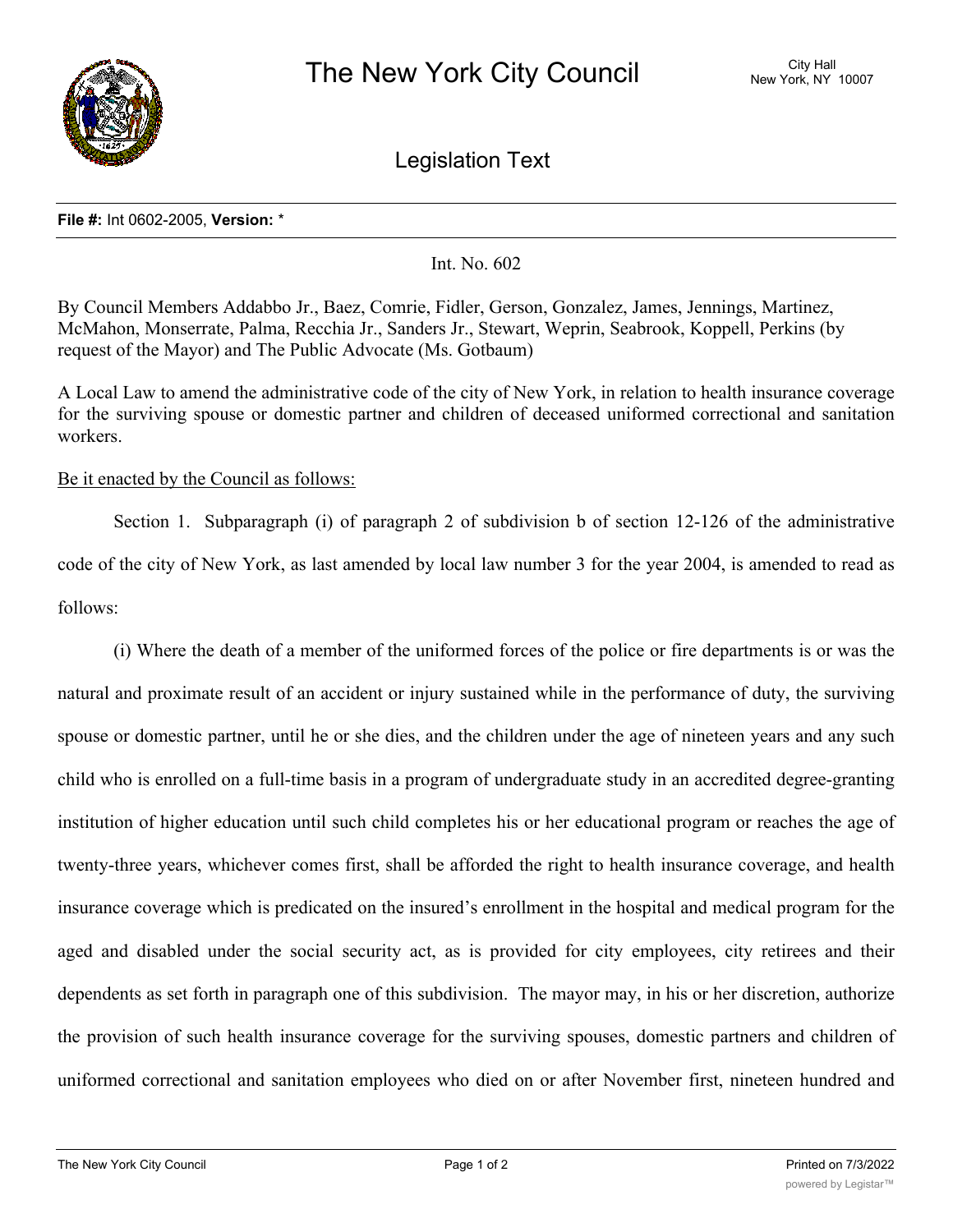

Legislation Text

## **File #:** Int 0602-2005, **Version:** \*

Int. No. 602

By Council Members Addabbo Jr., Baez, Comrie, Fidler, Gerson, Gonzalez, James, Jennings, Martinez, McMahon, Monserrate, Palma, Recchia Jr., Sanders Jr., Stewart, Weprin, Seabrook, Koppell, Perkins (by request of the Mayor) and The Public Advocate (Ms. Gotbaum)

A Local Law to amend the administrative code of the city of New York, in relation to health insurance coverage for the surviving spouse or domestic partner and children of deceased uniformed correctional and sanitation workers.

## Be it enacted by the Council as follows:

Section 1. Subparagraph (i) of paragraph 2 of subdivision b of section 12-126 of the administrative code of the city of New York, as last amended by local law number 3 for the year 2004, is amended to read as follows:

(i) Where the death of a member of the uniformed forces of the police or fire departments is or was the natural and proximate result of an accident or injury sustained while in the performance of duty, the surviving spouse or domestic partner, until he or she dies, and the children under the age of nineteen years and any such child who is enrolled on a full-time basis in a program of undergraduate study in an accredited degree-granting institution of higher education until such child completes his or her educational program or reaches the age of twenty-three years, whichever comes first, shall be afforded the right to health insurance coverage, and health insurance coverage which is predicated on the insured's enrollment in the hospital and medical program for the aged and disabled under the social security act, as is provided for city employees, city retirees and their dependents as set forth in paragraph one of this subdivision. The mayor may, in his or her discretion, authorize the provision of such health insurance coverage for the surviving spouses, domestic partners and children of uniformed correctional and sanitation employees who died on or after November first, nineteen hundred and